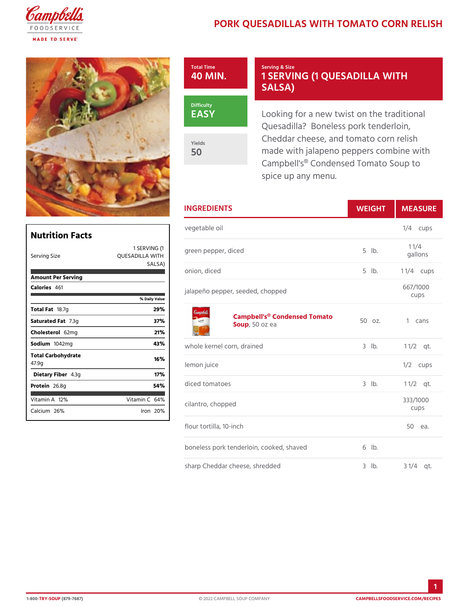## PORK QUESADILLAS WITH TOMATO

Total Time 40 MIN. Serving & Size 1 SERVING (1 QUESADIL SALSA)

EASY

Yields 50

Looking for a new twist on the Quesadilla? Boneless pork ten Cheddar cheese, and tomato co made with jalapeno peppers cor Campbell's® Condensed Tomato spice up any menu.

|                             |                 | <b>INGREDIENTS</b>                            | WEIGH      | MEASU                |
|-----------------------------|-----------------|-----------------------------------------------|------------|----------------------|
| Nutrition Facts             |                 | vegetable oil                                 |            | $1/4$ cups           |
| Serving Size                | QUESADILLA WITH | 1 SERVING (green pepper, diced                | $5$ $ b$ . | $1 \t1/4$<br>gallons |
| Amount Per Serving          | SALSIA)         | onion, diced                                  | $5$ $1b$ . | 1 $1/4$ cups         |
| Calorie4s61                 | % Daily Value   | jalapeño pepper, seeded, chopped              |            | 667/1000<br>cups     |
| Total Fa8.7g                | 29%             |                                               |            |                      |
| Saturated 7F. 3tg           | 37%             | Campbell's® Condensed Temato<br>Sou,p50 oz ea | 1 cans     |                      |
| Choleste62lmg               | 21%             |                                               |            |                      |
| Sodium 042mg                | 43%             | whole kernel corn, drained                    | $3$ $1b$ . | $1 \t1/2qt.$         |
| Total Carbohydrate<br>47.9q | 16%             | lemon juice                                   |            | $1/2$ cups           |
| Dietary F4 b3eg             | 17%             |                                               |            |                      |
| Protei <sub>26.8q</sub>     | 54%             | diced tomatoes                                | $3$ $1b$ . | $1 \frac{1}{2}$      |
| Vitamin1 $R$ %              | Vitamin64%      | cilantro, chopped                             |            | 333/1000<br>cups     |
| Calciu2n6%                  | $l$ ron $20%$   | flour tortilla, 10-inch                       |            | 50 еа.               |
|                             |                 | boneless pork tenderloin, cooked, sh6avbd     |            |                      |

sharp Cheddar cheese, shredded 3 lb. 3 1/4 qt.